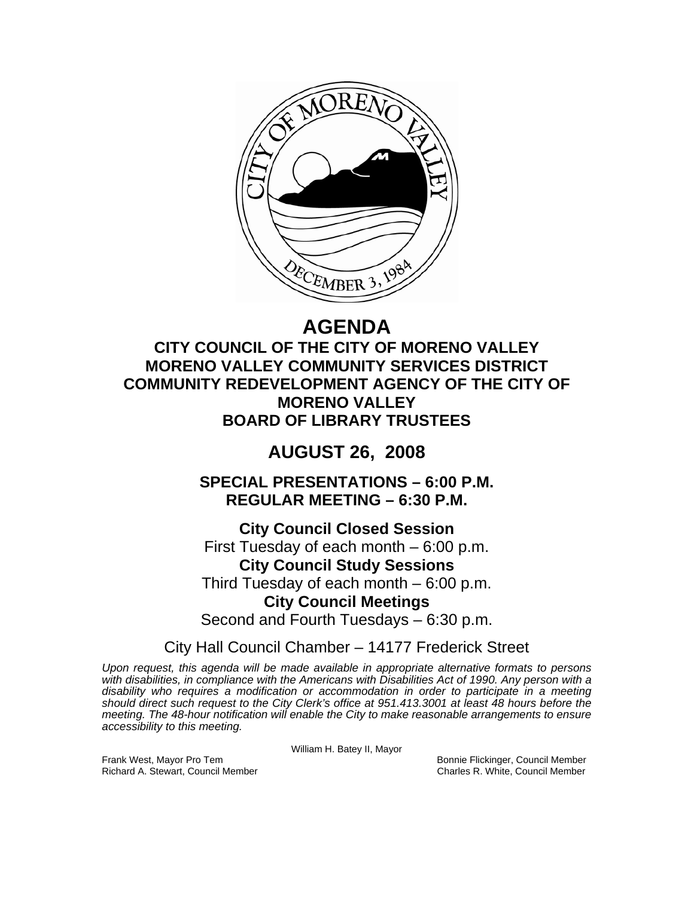

# **AGENDA**

**CITY COUNCIL OF THE CITY OF MORENO VALLEY MORENO VALLEY COMMUNITY SERVICES DISTRICT COMMUNITY REDEVELOPMENT AGENCY OF THE CITY OF MORENO VALLEY BOARD OF LIBRARY TRUSTEES** 

## **AUGUST 26, 2008**

**SPECIAL PRESENTATIONS – 6:00 P.M. REGULAR MEETING – 6:30 P.M.** 

**City Council Closed Session**  First Tuesday of each month – 6:00 p.m. **City Council Study Sessions**  Third Tuesday of each month – 6:00 p.m. **City Council Meetings**  Second and Fourth Tuesdays – 6:30 p.m.

City Hall Council Chamber – 14177 Frederick Street

*Upon request, this agenda will be made available in appropriate alternative formats to persons with disabilities, in compliance with the Americans with Disabilities Act of 1990. Any person with a disability who requires a modification or accommodation in order to participate in a meeting should direct such request to the City Clerk's office at 951.413.3001 at least 48 hours before the meeting. The 48-hour notification will enable the City to make reasonable arrangements to ensure accessibility to this meeting.* 

William H. Batey II, Mayor

Frank West, Mayor Pro Tem Bonnie Flickinger, Council Member Richard A. Stewart, Council Member Charles R. White, Council Member Charles R. White, Council Member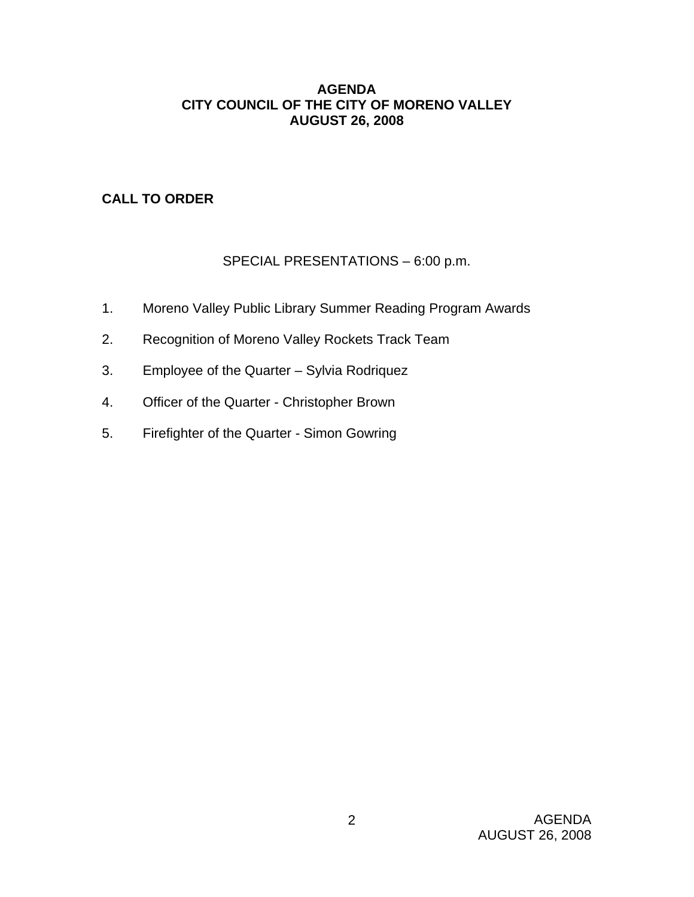## **AGENDA CITY COUNCIL OF THE CITY OF MORENO VALLEY AUGUST 26, 2008**

## **CALL TO ORDER**

## SPECIAL PRESENTATIONS – 6:00 p.m.

- 1. Moreno Valley Public Library Summer Reading Program Awards
- 2. Recognition of Moreno Valley Rockets Track Team
- 3. Employee of the Quarter Sylvia Rodriquez
- 4. Officer of the Quarter Christopher Brown
- 5. Firefighter of the Quarter Simon Gowring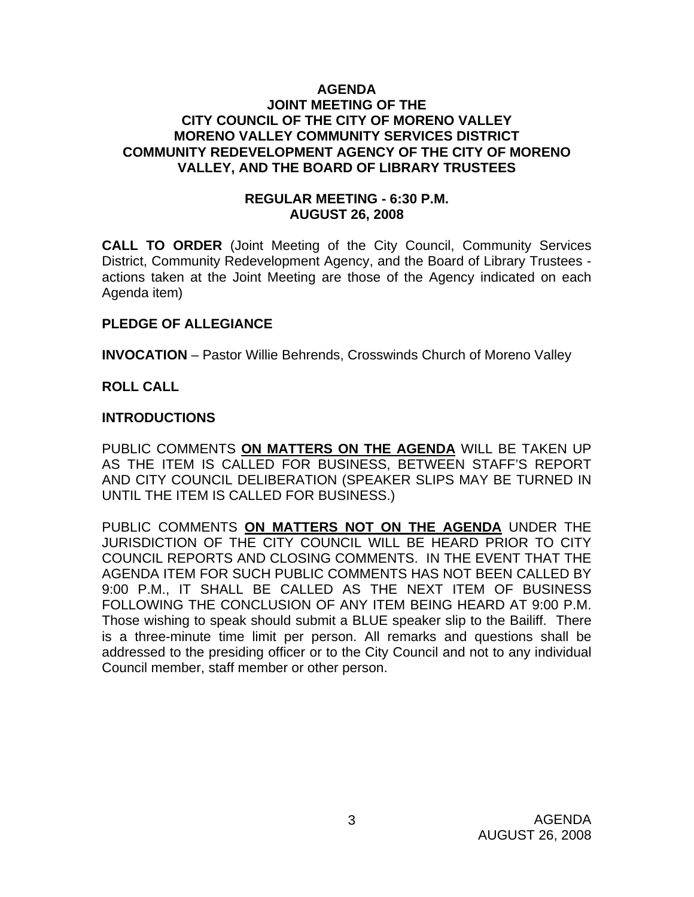## **AGENDA JOINT MEETING OF THE CITY COUNCIL OF THE CITY OF MORENO VALLEY MORENO VALLEY COMMUNITY SERVICES DISTRICT COMMUNITY REDEVELOPMENT AGENCY OF THE CITY OF MORENO VALLEY, AND THE BOARD OF LIBRARY TRUSTEES**

## **REGULAR MEETING - 6:30 P.M. AUGUST 26, 2008**

**CALL TO ORDER** (Joint Meeting of the City Council, Community Services District, Community Redevelopment Agency, and the Board of Library Trustees actions taken at the Joint Meeting are those of the Agency indicated on each Agenda item)

## **PLEDGE OF ALLEGIANCE**

**INVOCATION** – Pastor Willie Behrends, Crosswinds Church of Moreno Valley

## **ROLL CALL**

## **INTRODUCTIONS**

PUBLIC COMMENTS **ON MATTERS ON THE AGENDA** WILL BE TAKEN UP AS THE ITEM IS CALLED FOR BUSINESS, BETWEEN STAFF'S REPORT AND CITY COUNCIL DELIBERATION (SPEAKER SLIPS MAY BE TURNED IN UNTIL THE ITEM IS CALLED FOR BUSINESS.)

PUBLIC COMMENTS **ON MATTERS NOT ON THE AGENDA** UNDER THE JURISDICTION OF THE CITY COUNCIL WILL BE HEARD PRIOR TO CITY COUNCIL REPORTS AND CLOSING COMMENTS. IN THE EVENT THAT THE AGENDA ITEM FOR SUCH PUBLIC COMMENTS HAS NOT BEEN CALLED BY 9:00 P.M., IT SHALL BE CALLED AS THE NEXT ITEM OF BUSINESS FOLLOWING THE CONCLUSION OF ANY ITEM BEING HEARD AT 9:00 P.M. Those wishing to speak should submit a BLUE speaker slip to the Bailiff. There is a three-minute time limit per person. All remarks and questions shall be addressed to the presiding officer or to the City Council and not to any individual Council member, staff member or other person.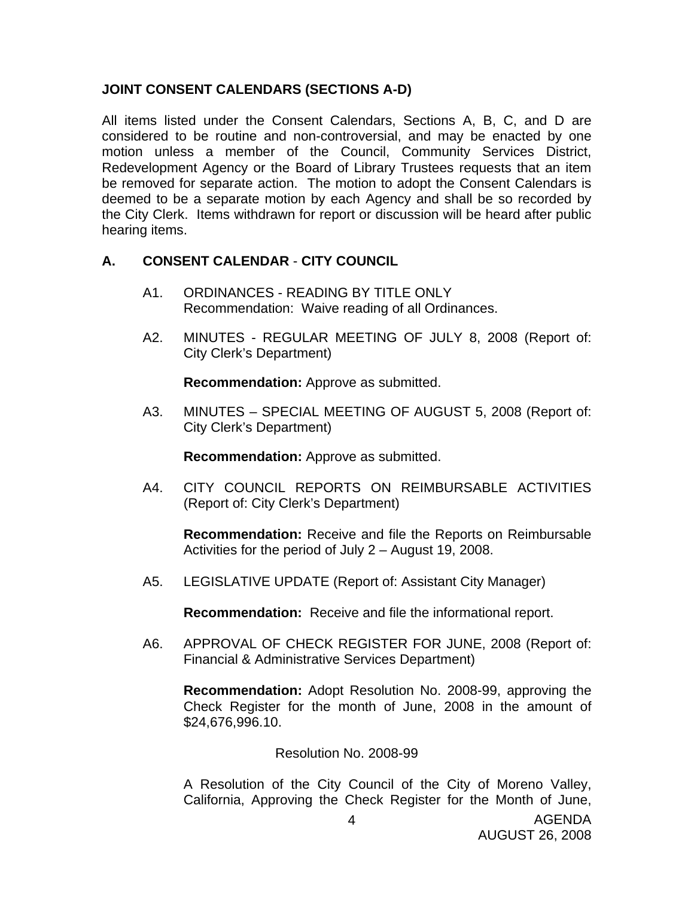## **JOINT CONSENT CALENDARS (SECTIONS A-D)**

All items listed under the Consent Calendars, Sections A, B, C, and D are considered to be routine and non-controversial, and may be enacted by one motion unless a member of the Council, Community Services District, Redevelopment Agency or the Board of Library Trustees requests that an item be removed for separate action. The motion to adopt the Consent Calendars is deemed to be a separate motion by each Agency and shall be so recorded by the City Clerk. Items withdrawn for report or discussion will be heard after public hearing items.

## **A. CONSENT CALENDAR** - **CITY COUNCIL**

- A1. ORDINANCES READING BY TITLE ONLY Recommendation: Waive reading of all Ordinances.
- A2. MINUTES REGULAR MEETING OF JULY 8, 2008 (Report of: City Clerk's Department)

**Recommendation:** Approve as submitted.

A3. MINUTES – SPECIAL MEETING OF AUGUST 5, 2008 (Report of: City Clerk's Department)

**Recommendation:** Approve as submitted.

A4. CITY COUNCIL REPORTS ON REIMBURSABLE ACTIVITIES (Report of: City Clerk's Department)

**Recommendation:** Receive and file the Reports on Reimbursable Activities for the period of July 2 – August 19, 2008.

A5. LEGISLATIVE UPDATE (Report of: Assistant City Manager)

**Recommendation:** Receive and file the informational report.

A6. APPROVAL OF CHECK REGISTER FOR JUNE, 2008 (Report of: Financial & Administrative Services Department)

 **Recommendation:** Adopt Resolution No. 2008-99, approving the Check Register for the month of June, 2008 in the amount of \$24,676,996.10.

## Resolution No. 2008-99

A Resolution of the City Council of the City of Moreno Valley, California, Approving the Check Register for the Month of June,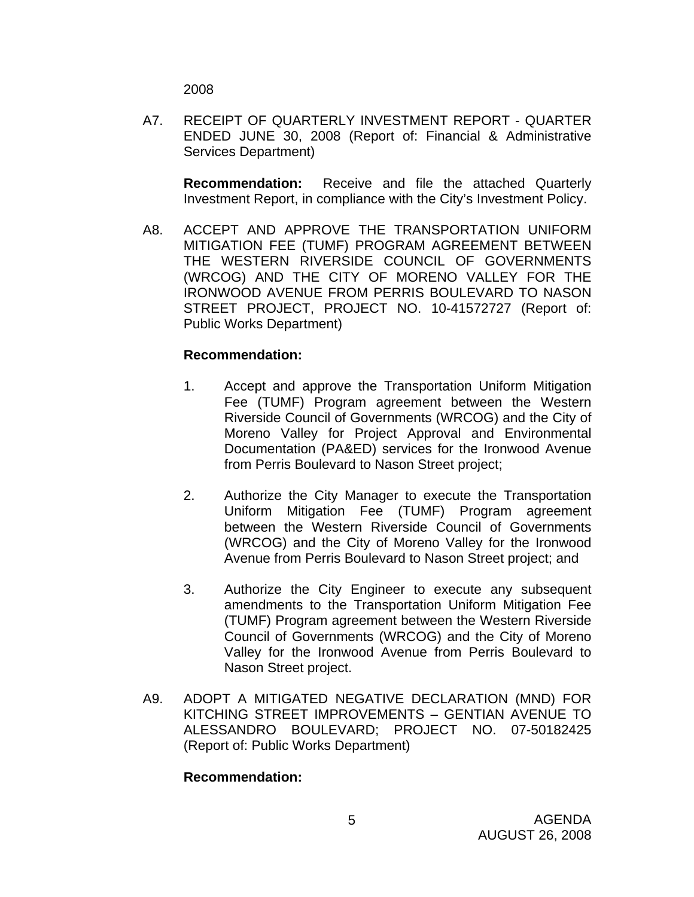2008

A7. RECEIPT OF QUARTERLY INVESTMENT REPORT - QUARTER ENDED JUNE 30, 2008 (Report of: Financial & Administrative Services Department)

 **Recommendation:** Receive and file the attached Quarterly Investment Report, in compliance with the City's Investment Policy.

A8. ACCEPT AND APPROVE THE TRANSPORTATION UNIFORM MITIGATION FEE (TUMF) PROGRAM AGREEMENT BETWEEN THE WESTERN RIVERSIDE COUNCIL OF GOVERNMENTS (WRCOG) AND THE CITY OF MORENO VALLEY FOR THE IRONWOOD AVENUE FROM PERRIS BOULEVARD TO NASON STREET PROJECT, PROJECT NO. 10-41572727 (Report of: Public Works Department)

## **Recommendation:**

- 1. Accept and approve the Transportation Uniform Mitigation Fee (TUMF) Program agreement between the Western Riverside Council of Governments (WRCOG) and the City of Moreno Valley for Project Approval and Environmental Documentation (PA&ED) services for the Ironwood Avenue from Perris Boulevard to Nason Street project;
- 2. Authorize the City Manager to execute the Transportation Uniform Mitigation Fee (TUMF) Program agreement between the Western Riverside Council of Governments (WRCOG) and the City of Moreno Valley for the Ironwood Avenue from Perris Boulevard to Nason Street project; and
- 3. Authorize the City Engineer to execute any subsequent amendments to the Transportation Uniform Mitigation Fee (TUMF) Program agreement between the Western Riverside Council of Governments (WRCOG) and the City of Moreno Valley for the Ironwood Avenue from Perris Boulevard to Nason Street project.
- A9. ADOPT A MITIGATED NEGATIVE DECLARATION (MND) FOR KITCHING STREET IMPROVEMENTS – GENTIAN AVENUE TO ALESSANDRO BOULEVARD; PROJECT NO. 07-50182425 (Report of: Public Works Department)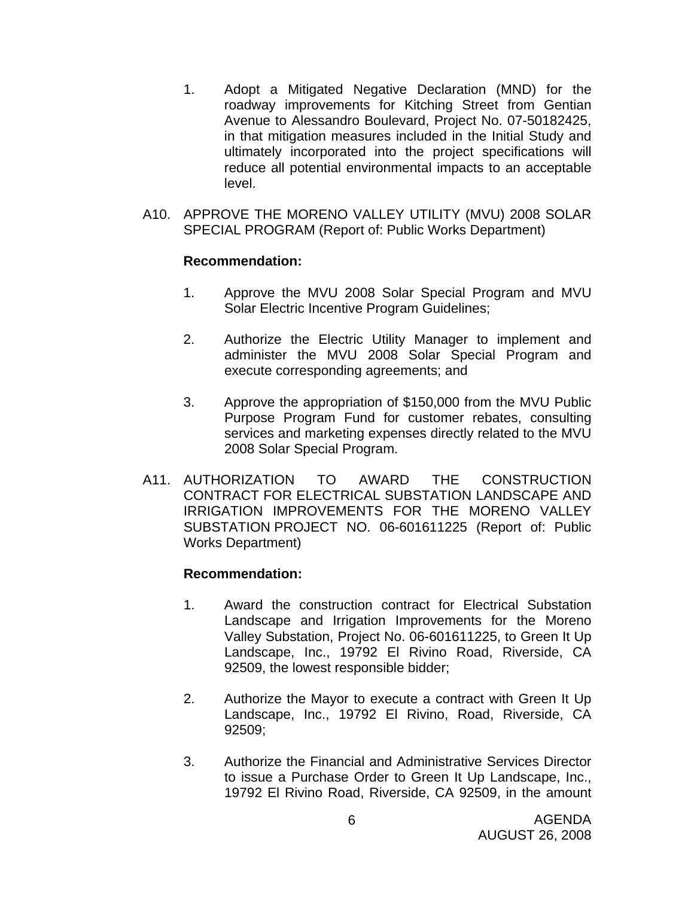- 1. Adopt a Mitigated Negative Declaration (MND) for the roadway improvements for Kitching Street from Gentian Avenue to Alessandro Boulevard, Project No. 07-50182425, in that mitigation measures included in the Initial Study and ultimately incorporated into the project specifications will reduce all potential environmental impacts to an acceptable level.
- A10. APPROVE THE MORENO VALLEY UTILITY (MVU) 2008 SOLAR SPECIAL PROGRAM (Report of: Public Works Department)

## **Recommendation:**

- 1. Approve the MVU 2008 Solar Special Program and MVU Solar Electric Incentive Program Guidelines;
- 2. Authorize the Electric Utility Manager to implement and administer the MVU 2008 Solar Special Program and execute corresponding agreements; and
- 3. Approve the appropriation of \$150,000 from the MVU Public Purpose Program Fund for customer rebates, consulting services and marketing expenses directly related to the MVU 2008 Solar Special Program.
- A11. AUTHORIZATION TO AWARD THE CONSTRUCTION CONTRACT FOR ELECTRICAL SUBSTATION LANDSCAPE AND IRRIGATION IMPROVEMENTS FOR THE MORENO VALLEY SUBSTATION PROJECT NO. 06-601611225 (Report of: Public Works Department)

- 1. Award the construction contract for Electrical Substation Landscape and Irrigation Improvements for the Moreno Valley Substation, Project No. 06-601611225, to Green It Up Landscape, Inc., 19792 El Rivino Road, Riverside, CA 92509, the lowest responsible bidder;
- 2. Authorize the Mayor to execute a contract with Green It Up Landscape, Inc., 19792 El Rivino, Road, Riverside, CA 92509;
- 3. Authorize the Financial and Administrative Services Director to issue a Purchase Order to Green It Up Landscape, Inc., 19792 El Rivino Road, Riverside, CA 92509, in the amount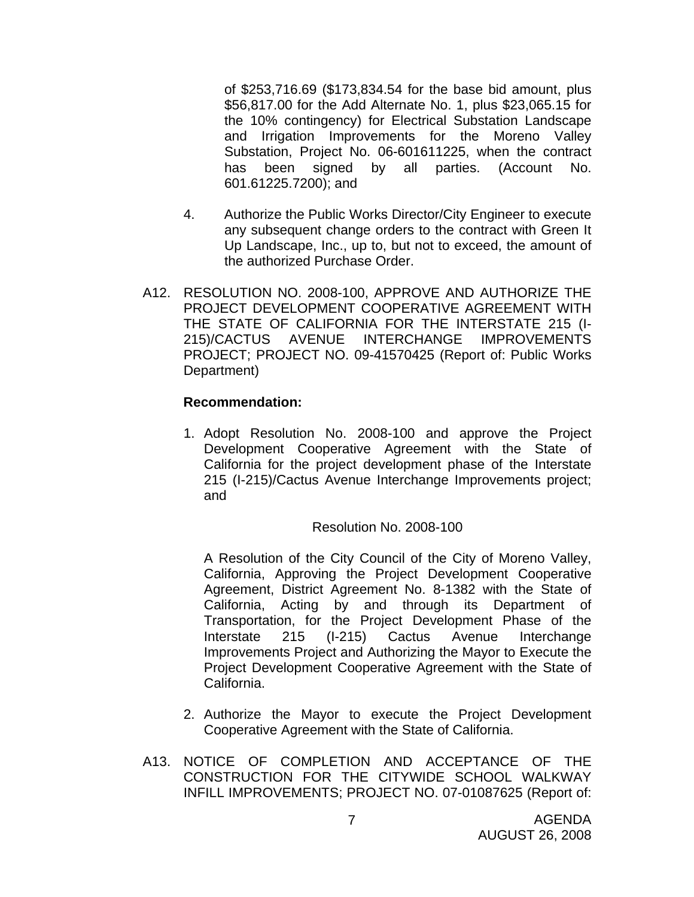of \$253,716.69 (\$173,834.54 for the base bid amount, plus \$56,817.00 for the Add Alternate No. 1, plus \$23,065.15 for the 10% contingency) for Electrical Substation Landscape and Irrigation Improvements for the Moreno Valley Substation, Project No. 06-601611225, when the contract has been signed by all parties. (Account No. 601.61225.7200); and

- 4. Authorize the Public Works Director/City Engineer to execute any subsequent change orders to the contract with Green It Up Landscape, Inc., up to, but not to exceed, the amount of the authorized Purchase Order.
- A12. RESOLUTION NO. 2008-100, APPROVE AND AUTHORIZE THE PROJECT DEVELOPMENT COOPERATIVE AGREEMENT WITH THE STATE OF CALIFORNIA FOR THE INTERSTATE 215 (I-215)/CACTUS AVENUE INTERCHANGE IMPROVEMENTS PROJECT; PROJECT NO. 09-41570425 (Report of: Public Works Department)

#### **Recommendation:**

1. Adopt Resolution No. 2008-100 and approve the Project Development Cooperative Agreement with the State of California for the project development phase of the Interstate 215 (I-215)/Cactus Avenue Interchange Improvements project; and

## Resolution No. 2008-100

A Resolution of the City Council of the City of Moreno Valley, California, Approving the Project Development Cooperative Agreement, District Agreement No. 8-1382 with the State of California, Acting by and through its Department of Transportation, for the Project Development Phase of the Interstate 215 (I-215) Cactus Avenue Interchange Improvements Project and Authorizing the Mayor to Execute the Project Development Cooperative Agreement with the State of California.

- 2. Authorize the Mayor to execute the Project Development Cooperative Agreement with the State of California.
- A13. NOTICE OF COMPLETION AND ACCEPTANCE OF THE CONSTRUCTION FOR THE CITYWIDE SCHOOL WALKWAY INFILL IMPROVEMENTS; PROJECT NO. 07-01087625 (Report of: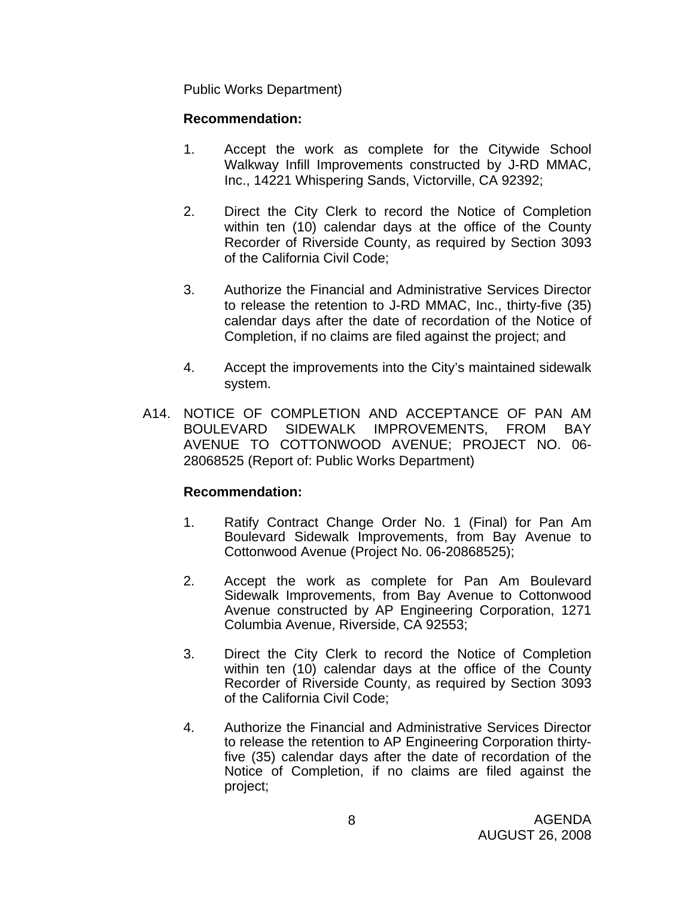Public Works Department)

## **Recommendation:**

- 1. Accept the work as complete for the Citywide School Walkway Infill Improvements constructed by J-RD MMAC, Inc., 14221 Whispering Sands, Victorville, CA 92392;
- 2. Direct the City Clerk to record the Notice of Completion within ten (10) calendar days at the office of the County Recorder of Riverside County, as required by Section 3093 of the California Civil Code;
- 3. Authorize the Financial and Administrative Services Director to release the retention to J-RD MMAC, Inc., thirty-five (35) calendar days after the date of recordation of the Notice of Completion, if no claims are filed against the project; and
- 4. Accept the improvements into the City's maintained sidewalk system.
- A14. NOTICE OF COMPLETION AND ACCEPTANCE OF PAN AM BOULEVARD SIDEWALK IMPROVEMENTS, FROM BAY AVENUE TO COTTONWOOD AVENUE; PROJECT NO. 06- 28068525 (Report of: Public Works Department)

- 1. Ratify Contract Change Order No. 1 (Final) for Pan Am Boulevard Sidewalk Improvements, from Bay Avenue to Cottonwood Avenue (Project No. 06-20868525);
- 2. Accept the work as complete for Pan Am Boulevard Sidewalk Improvements, from Bay Avenue to Cottonwood Avenue constructed by AP Engineering Corporation, 1271 Columbia Avenue, Riverside, CA 92553;
- 3. Direct the City Clerk to record the Notice of Completion within ten (10) calendar days at the office of the County Recorder of Riverside County, as required by Section 3093 of the California Civil Code;
- 4. Authorize the Financial and Administrative Services Director to release the retention to AP Engineering Corporation thirtyfive (35) calendar days after the date of recordation of the Notice of Completion, if no claims are filed against the project;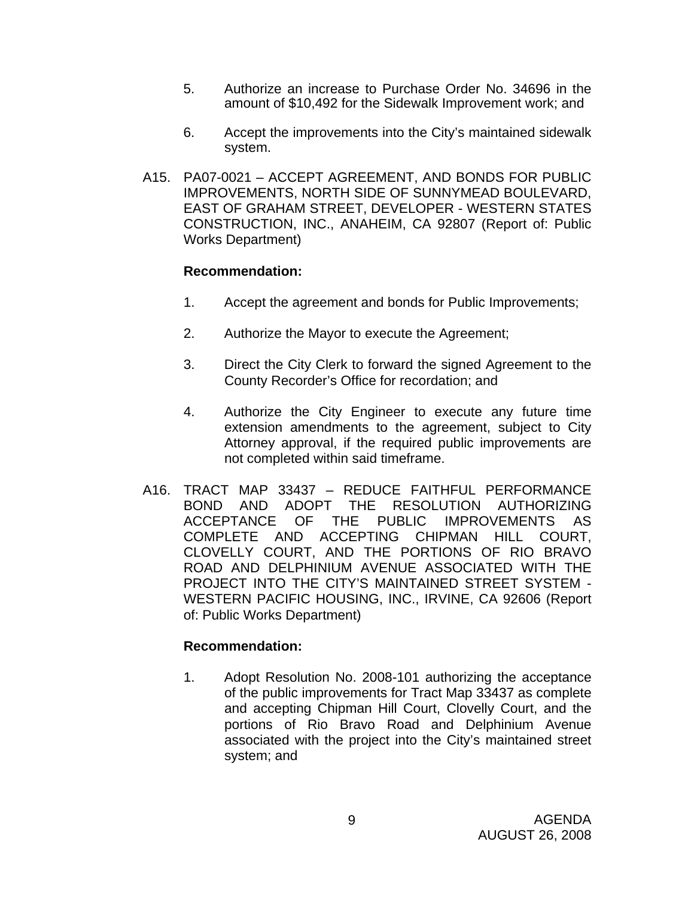- 5. Authorize an increase to Purchase Order No. 34696 in the amount of \$10,492 for the Sidewalk Improvement work; and
- 6. Accept the improvements into the City's maintained sidewalk system.
- A15. PA07-0021 ACCEPT AGREEMENT, AND BONDS FOR PUBLIC IMPROVEMENTS, NORTH SIDE OF SUNNYMEAD BOULEVARD, EAST OF GRAHAM STREET, DEVELOPER - WESTERN STATES CONSTRUCTION, INC., ANAHEIM, CA 92807 (Report of: Public Works Department)

## **Recommendation:**

- 1. Accept the agreement and bonds for Public Improvements;
- 2. Authorize the Mayor to execute the Agreement;
- 3. Direct the City Clerk to forward the signed Agreement to the County Recorder's Office for recordation; and
- 4. Authorize the City Engineer to execute any future time extension amendments to the agreement, subject to City Attorney approval, if the required public improvements are not completed within said timeframe.
- A16. TRACT MAP 33437 REDUCE FAITHFUL PERFORMANCE BOND AND ADOPT THE RESOLUTION AUTHORIZING ACCEPTANCE OF THE PUBLIC IMPROVEMENTS AS COMPLETE AND ACCEPTING CHIPMAN HILL COURT, CLOVELLY COURT, AND THE PORTIONS OF RIO BRAVO ROAD AND DELPHINIUM AVENUE ASSOCIATED WITH THE PROJECT INTO THE CITY'S MAINTAINED STREET SYSTEM - WESTERN PACIFIC HOUSING, INC., IRVINE, CA 92606 (Report of: Public Works Department)

## **Recommendation:**

1. Adopt Resolution No. 2008-101 authorizing the acceptance of the public improvements for Tract Map 33437 as complete and accepting Chipman Hill Court, Clovelly Court, and the portions of Rio Bravo Road and Delphinium Avenue associated with the project into the City's maintained street system; and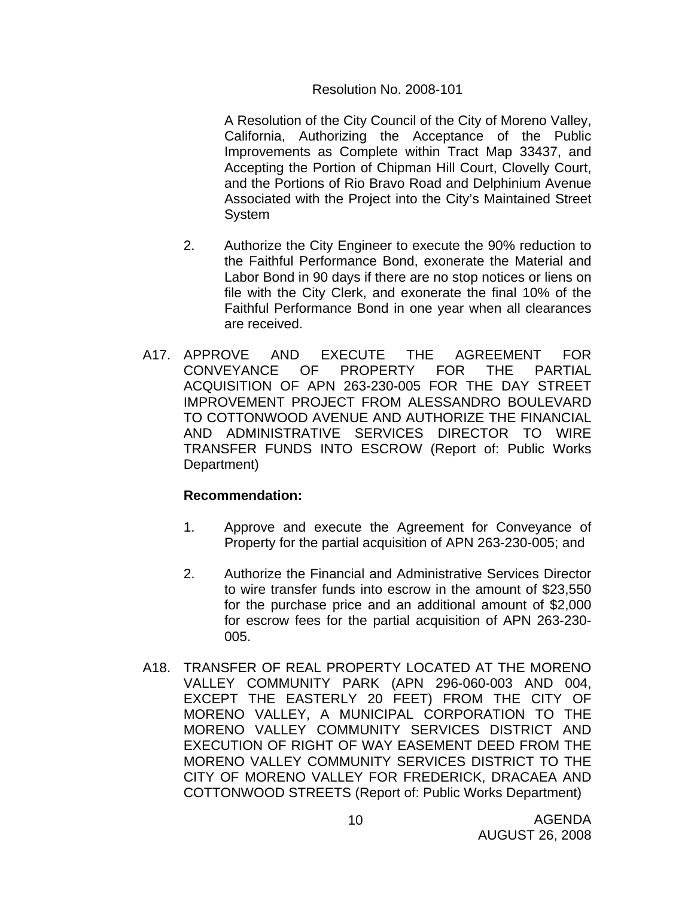## Resolution No. 2008-101

A Resolution of the City Council of the City of Moreno Valley, California, Authorizing the Acceptance of the Public Improvements as Complete within Tract Map 33437, and Accepting the Portion of Chipman Hill Court, Clovelly Court, and the Portions of Rio Bravo Road and Delphinium Avenue Associated with the Project into the City's Maintained Street System

- 2. Authorize the City Engineer to execute the 90% reduction to the Faithful Performance Bond, exonerate the Material and Labor Bond in 90 days if there are no stop notices or liens on file with the City Clerk, and exonerate the final 10% of the Faithful Performance Bond in one year when all clearances are received.
- A17. APPROVE AND EXECUTE THE AGREEMENT FOR CONVEYANCE OF PROPERTY FOR THE PARTIAL ACQUISITION OF APN 263-230-005 FOR THE DAY STREET IMPROVEMENT PROJECT FROM ALESSANDRO BOULEVARD TO COTTONWOOD AVENUE AND AUTHORIZE THE FINANCIAL AND ADMINISTRATIVE SERVICES DIRECTOR TO WIRE TRANSFER FUNDS INTO ESCROW (Report of: Public Works Department)

- 1. Approve and execute the Agreement for Conveyance of Property for the partial acquisition of APN 263-230-005; and
- 2. Authorize the Financial and Administrative Services Director to wire transfer funds into escrow in the amount of \$23,550 for the purchase price and an additional amount of \$2,000 for escrow fees for the partial acquisition of APN 263-230- 005.
- A18. TRANSFER OF REAL PROPERTY LOCATED AT THE MORENO VALLEY COMMUNITY PARK (APN 296-060-003 AND 004, EXCEPT THE EASTERLY 20 FEET) FROM THE CITY OF MORENO VALLEY, A MUNICIPAL CORPORATION TO THE MORENO VALLEY COMMUNITY SERVICES DISTRICT AND EXECUTION OF RIGHT OF WAY EASEMENT DEED FROM THE MORENO VALLEY COMMUNITY SERVICES DISTRICT TO THE CITY OF MORENO VALLEY FOR FREDERICK, DRACAEA AND COTTONWOOD STREETS (Report of: Public Works Department)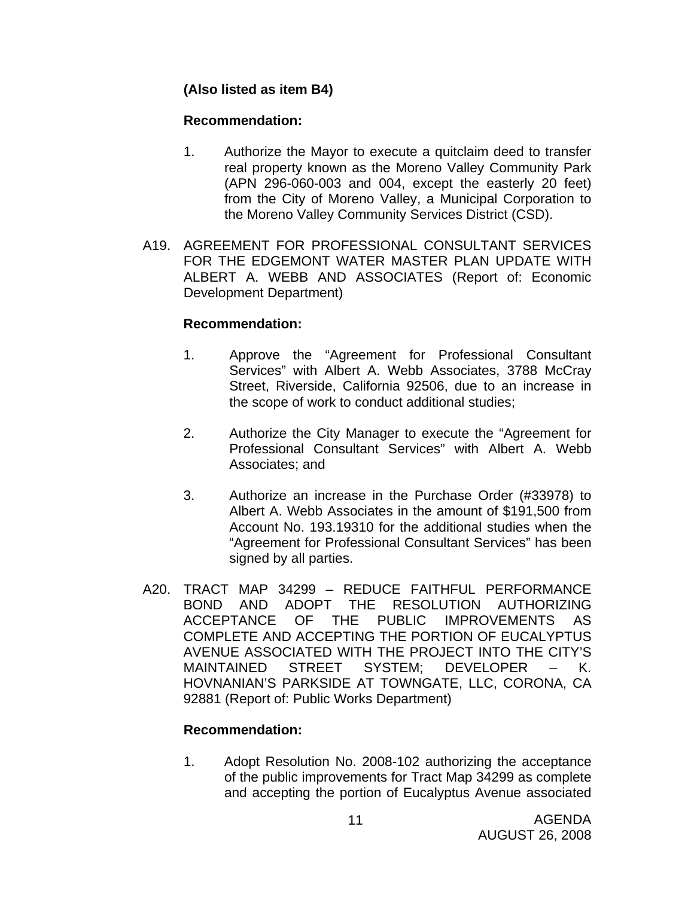## **(Also listed as item B4)**

## **Recommendation:**

- 1. Authorize the Mayor to execute a quitclaim deed to transfer real property known as the Moreno Valley Community Park (APN 296-060-003 and 004, except the easterly 20 feet) from the City of Moreno Valley, a Municipal Corporation to the Moreno Valley Community Services District (CSD).
- A19. AGREEMENT FOR PROFESSIONAL CONSULTANT SERVICES FOR THE EDGEMONT WATER MASTER PLAN UPDATE WITH ALBERT A. WEBB AND ASSOCIATES (Report of: Economic Development Department)

## **Recommendation:**

- 1. Approve the "Agreement for Professional Consultant Services" with Albert A. Webb Associates, 3788 McCray Street, Riverside, California 92506, due to an increase in the scope of work to conduct additional studies;
- 2. Authorize the City Manager to execute the "Agreement for Professional Consultant Services" with Albert A. Webb Associates; and
- 3. Authorize an increase in the Purchase Order (#33978) to Albert A. Webb Associates in the amount of \$191,500 from Account No. 193.19310 for the additional studies when the "Agreement for Professional Consultant Services" has been signed by all parties.
- A20. TRACT MAP 34299 REDUCE FAITHFUL PERFORMANCE BOND AND ADOPT THE RESOLUTION AUTHORIZING ACCEPTANCE OF THE PUBLIC IMPROVEMENTS AS COMPLETE AND ACCEPTING THE PORTION OF EUCALYPTUS AVENUE ASSOCIATED WITH THE PROJECT INTO THE CITY'S MAINTAINED STREET SYSTEM; DEVELOPER – K. HOVNANIAN'S PARKSIDE AT TOWNGATE, LLC, CORONA, CA 92881 (Report of: Public Works Department)

## **Recommendation:**

1. Adopt Resolution No. 2008-102 authorizing the acceptance of the public improvements for Tract Map 34299 as complete and accepting the portion of Eucalyptus Avenue associated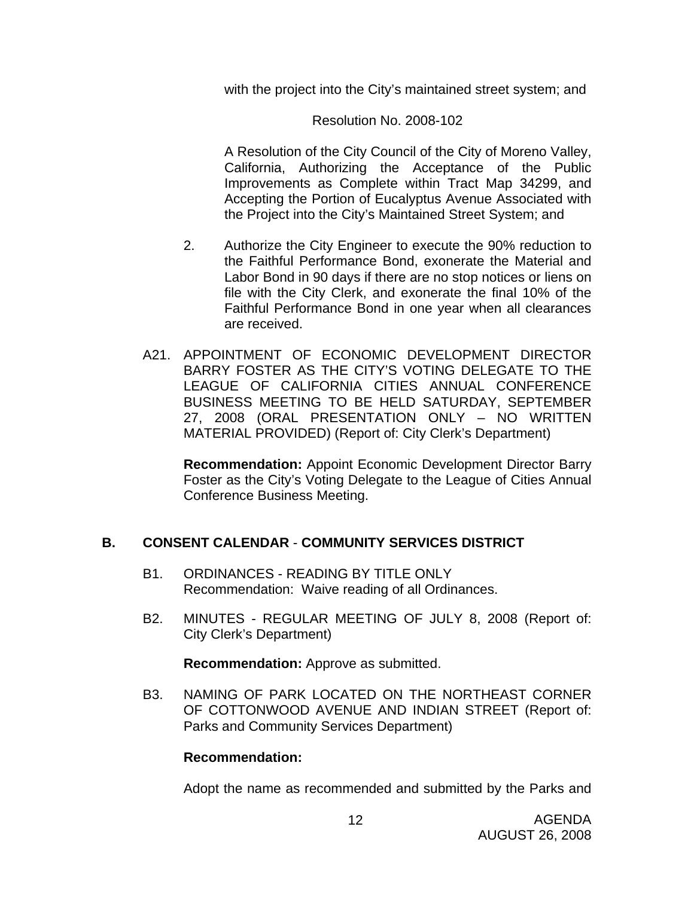with the project into the City's maintained street system; and

#### Resolution No. 2008-102

 A Resolution of the City Council of the City of Moreno Valley, California, Authorizing the Acceptance of the Public Improvements as Complete within Tract Map 34299, and Accepting the Portion of Eucalyptus Avenue Associated with the Project into the City's Maintained Street System; and

- 2. Authorize the City Engineer to execute the 90% reduction to the Faithful Performance Bond, exonerate the Material and Labor Bond in 90 days if there are no stop notices or liens on file with the City Clerk, and exonerate the final 10% of the Faithful Performance Bond in one year when all clearances are received.
- A21. APPOINTMENT OF ECONOMIC DEVELOPMENT DIRECTOR BARRY FOSTER AS THE CITY'S VOTING DELEGATE TO THE LEAGUE OF CALIFORNIA CITIES ANNUAL CONFERENCE BUSINESS MEETING TO BE HELD SATURDAY, SEPTEMBER 27, 2008 (ORAL PRESENTATION ONLY – NO WRITTEN MATERIAL PROVIDED) (Report of: City Clerk's Department)

 **Recommendation:** Appoint Economic Development Director Barry Foster as the City's Voting Delegate to the League of Cities Annual Conference Business Meeting.

## **B. CONSENT CALENDAR** - **COMMUNITY SERVICES DISTRICT**

- B1. ORDINANCES READING BY TITLE ONLY Recommendation: Waive reading of all Ordinances.
- B2. MINUTES REGULAR MEETING OF JULY 8, 2008 (Report of: City Clerk's Department)

**Recommendation:** Approve as submitted.

B3. NAMING OF PARK LOCATED ON THE NORTHEAST CORNER OF COTTONWOOD AVENUE AND INDIAN STREET (Report of: Parks and Community Services Department)

#### **Recommendation:**

Adopt the name as recommended and submitted by the Parks and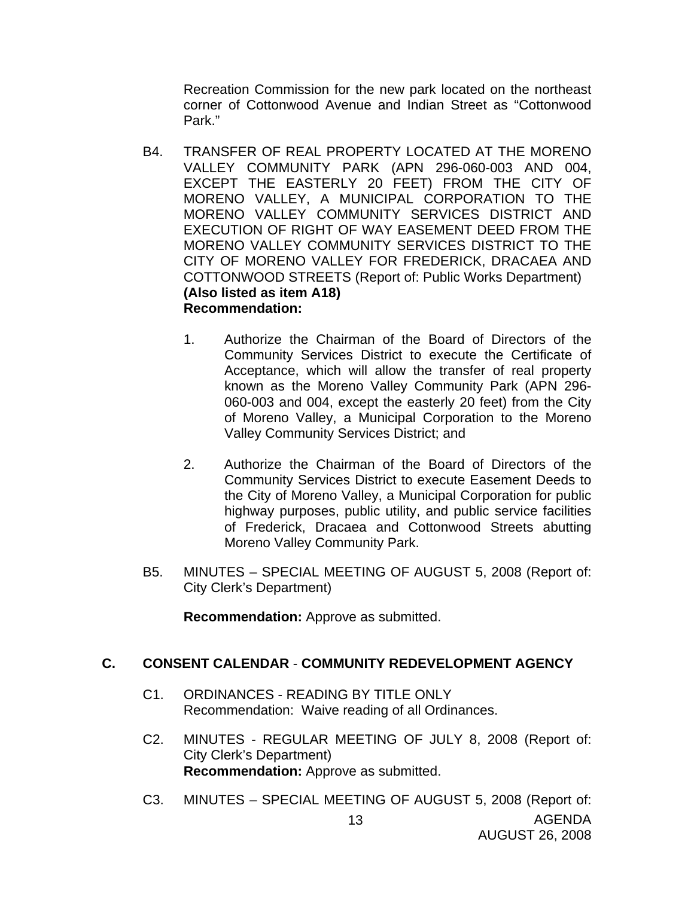Recreation Commission for the new park located on the northeast corner of Cottonwood Avenue and Indian Street as "Cottonwood Park."

- B4. TRANSFER OF REAL PROPERTY LOCATED AT THE MORENO VALLEY COMMUNITY PARK (APN 296-060-003 AND 004, EXCEPT THE EASTERLY 20 FEET) FROM THE CITY OF MORENO VALLEY, A MUNICIPAL CORPORATION TO THE MORENO VALLEY COMMUNITY SERVICES DISTRICT AND EXECUTION OF RIGHT OF WAY EASEMENT DEED FROM THE MORENO VALLEY COMMUNITY SERVICES DISTRICT TO THE CITY OF MORENO VALLEY FOR FREDERICK, DRACAEA AND COTTONWOOD STREETS (Report of: Public Works Department) **(Also listed as item A18) Recommendation:** 
	- 1. Authorize the Chairman of the Board of Directors of the Community Services District to execute the Certificate of Acceptance, which will allow the transfer of real property known as the Moreno Valley Community Park (APN 296- 060-003 and 004, except the easterly 20 feet) from the City of Moreno Valley, a Municipal Corporation to the Moreno Valley Community Services District; and
	- 2. Authorize the Chairman of the Board of Directors of the Community Services District to execute Easement Deeds to the City of Moreno Valley, a Municipal Corporation for public highway purposes, public utility, and public service facilities of Frederick, Dracaea and Cottonwood Streets abutting Moreno Valley Community Park.
- B5. MINUTES SPECIAL MEETING OF AUGUST 5, 2008 (Report of: City Clerk's Department)

**Recommendation:** Approve as submitted.

## **C. CONSENT CALENDAR** - **COMMUNITY REDEVELOPMENT AGENCY**

- C1. ORDINANCES READING BY TITLE ONLY Recommendation: Waive reading of all Ordinances.
- C2. MINUTES REGULAR MEETING OF JULY 8, 2008 (Report of: City Clerk's Department) **Recommendation:** Approve as submitted.
- AGENDA AUGUST 26, 2008 13 C3. MINUTES – SPECIAL MEETING OF AUGUST 5, 2008 (Report of: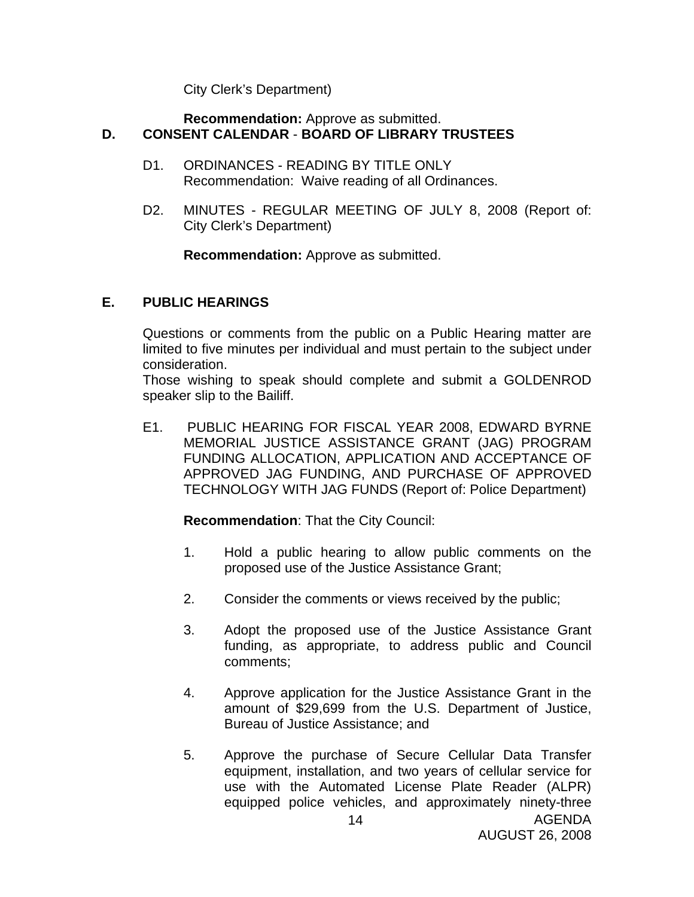City Clerk's Department)

#### **Recommendation:** Approve as submitted. **D. CONSENT CALENDAR** - **BOARD OF LIBRARY TRUSTEES**

- D1. ORDINANCES READING BY TITLE ONLY Recommendation: Waive reading of all Ordinances.
- D2. MINUTES REGULAR MEETING OF JULY 8, 2008 (Report of: City Clerk's Department)

**Recommendation:** Approve as submitted.

## **E. PUBLIC HEARINGS**

Questions or comments from the public on a Public Hearing matter are limited to five minutes per individual and must pertain to the subject under consideration.

 Those wishing to speak should complete and submit a GOLDENROD speaker slip to the Bailiff.

E1. PUBLIC HEARING FOR FISCAL YEAR 2008, EDWARD BYRNE MEMORIAL JUSTICE ASSISTANCE GRANT (JAG) PROGRAM FUNDING ALLOCATION, APPLICATION AND ACCEPTANCE OF APPROVED JAG FUNDING, AND PURCHASE OF APPROVED TECHNOLOGY WITH JAG FUNDS (Report of: Police Department)

**Recommendation**: That the City Council:

- 1. Hold a public hearing to allow public comments on the proposed use of the Justice Assistance Grant;
- 2. Consider the comments or views received by the public;
- 3. Adopt the proposed use of the Justice Assistance Grant funding, as appropriate, to address public and Council comments;
- 4. Approve application for the Justice Assistance Grant in the amount of \$29,699 from the U.S. Department of Justice, Bureau of Justice Assistance; and
- 5. Approve the purchase of Secure Cellular Data Transfer equipment, installation, and two years of cellular service for use with the Automated License Plate Reader (ALPR) equipped police vehicles, and approximately ninety-three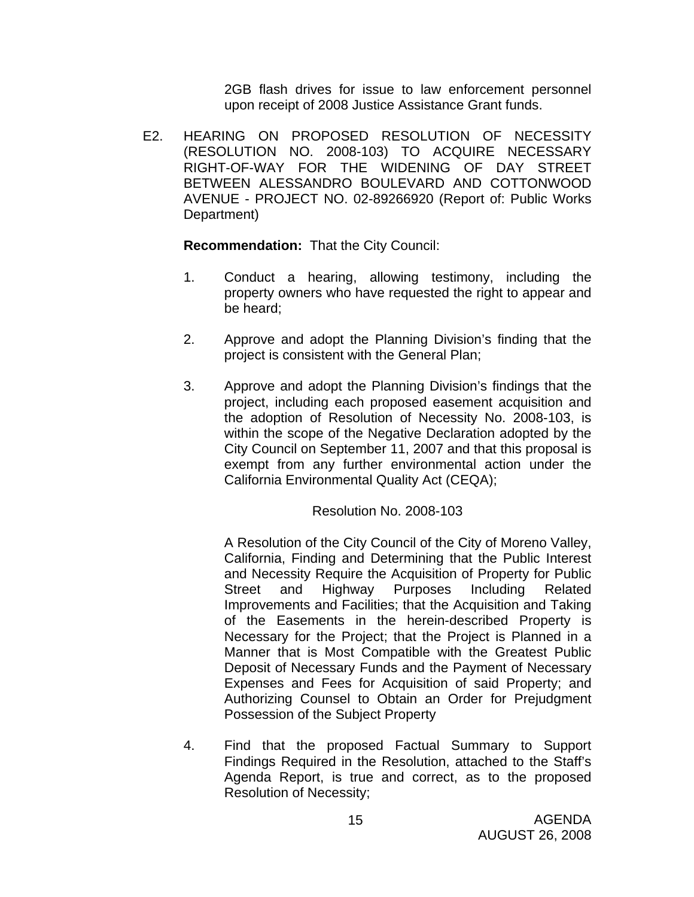2GB flash drives for issue to law enforcement personnel upon receipt of 2008 Justice Assistance Grant funds.

E2. HEARING ON PROPOSED RESOLUTION OF NECESSITY (RESOLUTION NO. 2008-103) TO ACQUIRE NECESSARY RIGHT-OF-WAY FOR THE WIDENING OF DAY STREET BETWEEN ALESSANDRO BOULEVARD AND COTTONWOOD AVENUE - PROJECT NO. 02-89266920 (Report of: Public Works Department)

 **Recommendation:** That the City Council:

- 1. Conduct a hearing, allowing testimony, including the property owners who have requested the right to appear and be heard;
- 2. Approve and adopt the Planning Division's finding that the project is consistent with the General Plan;
- 3. Approve and adopt the Planning Division's findings that the project, including each proposed easement acquisition and the adoption of Resolution of Necessity No. 2008-103, is within the scope of the Negative Declaration adopted by the City Council on September 11, 2007 and that this proposal is exempt from any further environmental action under the California Environmental Quality Act (CEQA);

## Resolution No. 2008-103

A Resolution of the City Council of the City of Moreno Valley, California, Finding and Determining that the Public Interest and Necessity Require the Acquisition of Property for Public Street and Highway Purposes Including Related Improvements and Facilities; that the Acquisition and Taking of the Easements in the herein-described Property is Necessary for the Project; that the Project is Planned in a Manner that is Most Compatible with the Greatest Public Deposit of Necessary Funds and the Payment of Necessary Expenses and Fees for Acquisition of said Property; and Authorizing Counsel to Obtain an Order for Prejudgment Possession of the Subject Property

4. Find that the proposed Factual Summary to Support Findings Required in the Resolution, attached to the Staff's Agenda Report, is true and correct, as to the proposed Resolution of Necessity;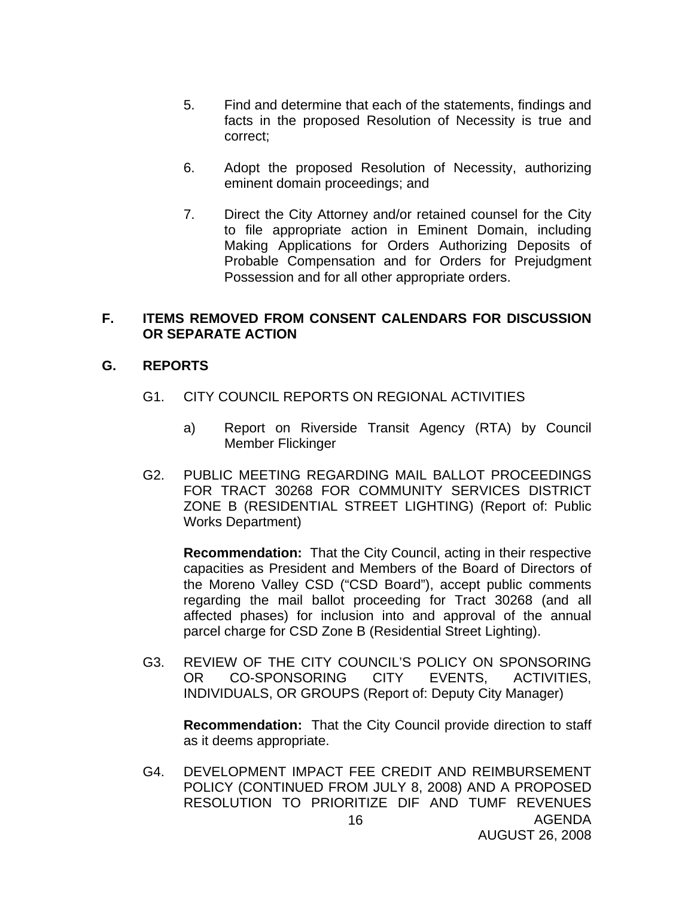- 5. Find and determine that each of the statements, findings and facts in the proposed Resolution of Necessity is true and correct;
- 6. Adopt the proposed Resolution of Necessity, authorizing eminent domain proceedings; and
- 7. Direct the City Attorney and/or retained counsel for the City to file appropriate action in Eminent Domain, including Making Applications for Orders Authorizing Deposits of Probable Compensation and for Orders for Prejudgment Possession and for all other appropriate orders.

#### **F. ITEMS REMOVED FROM CONSENT CALENDARS FOR DISCUSSION OR SEPARATE ACTION**

## **G. REPORTS**

- G1. CITY COUNCIL REPORTS ON REGIONAL ACTIVITIES
	- a) Report on Riverside Transit Agency (RTA) by Council Member Flickinger
- G2. PUBLIC MEETING REGARDING MAIL BALLOT PROCEEDINGS FOR TRACT 30268 FOR COMMUNITY SERVICES DISTRICT ZONE B (RESIDENTIAL STREET LIGHTING) (Report of: Public Works Department)

**Recommendation:** That the City Council, acting in their respective capacities as President and Members of the Board of Directors of the Moreno Valley CSD ("CSD Board"), accept public comments regarding the mail ballot proceeding for Tract 30268 (and all affected phases) for inclusion into and approval of the annual parcel charge for CSD Zone B (Residential Street Lighting).

G3. REVIEW OF THE CITY COUNCIL'S POLICY ON SPONSORING OR CO-SPONSORING CITY EVENTS, ACTIVITIES, INDIVIDUALS, OR GROUPS (Report of: Deputy City Manager)

**Recommendation:** That the City Council provide direction to staff as it deems appropriate.

AGENDA 16 G4. DEVELOPMENT IMPACT FEE CREDIT AND REIMBURSEMENT POLICY (CONTINUED FROM JULY 8, 2008) AND A PROPOSED RESOLUTION TO PRIORITIZE DIF AND TUMF REVENUES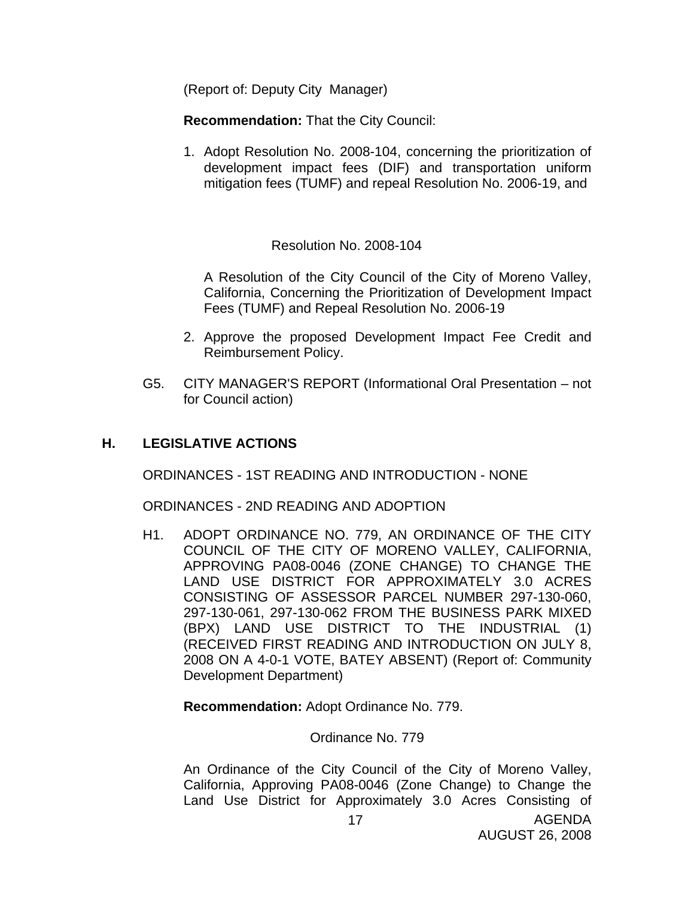(Report of: Deputy City Manager)

**Recommendation:** That the City Council:

1. Adopt Resolution No. 2008-104, concerning the prioritization of development impact fees (DIF) and transportation uniform mitigation fees (TUMF) and repeal Resolution No. 2006-19, and

Resolution No. 2008-104

A Resolution of the City Council of the City of Moreno Valley, California, Concerning the Prioritization of Development Impact Fees (TUMF) and Repeal Resolution No. 2006-19

- 2. Approve the proposed Development Impact Fee Credit and Reimbursement Policy.
- G5. CITY MANAGER'S REPORT (Informational Oral Presentation not for Council action)

## **H. LEGISLATIVE ACTIONS**

ORDINANCES - 1ST READING AND INTRODUCTION - NONE

ORDINANCES - 2ND READING AND ADOPTION

H1. ADOPT ORDINANCE NO. 779, AN ORDINANCE OF THE CITY COUNCIL OF THE CITY OF MORENO VALLEY, CALIFORNIA, APPROVING PA08-0046 (ZONE CHANGE) TO CHANGE THE LAND USE DISTRICT FOR APPROXIMATELY 3.0 ACRES CONSISTING OF ASSESSOR PARCEL NUMBER 297-130-060, 297-130-061, 297-130-062 FROM THE BUSINESS PARK MIXED (BPX) LAND USE DISTRICT TO THE INDUSTRIAL (1) (RECEIVED FIRST READING AND INTRODUCTION ON JULY 8, 2008 ON A 4-0-1 VOTE, BATEY ABSENT) (Report of: Community Development Department)

**Recommendation:** Adopt Ordinance No. 779.

Ordinance No. 779

An Ordinance of the City Council of the City of Moreno Valley, California, Approving PA08-0046 (Zone Change) to Change the Land Use District for Approximately 3.0 Acres Consisting of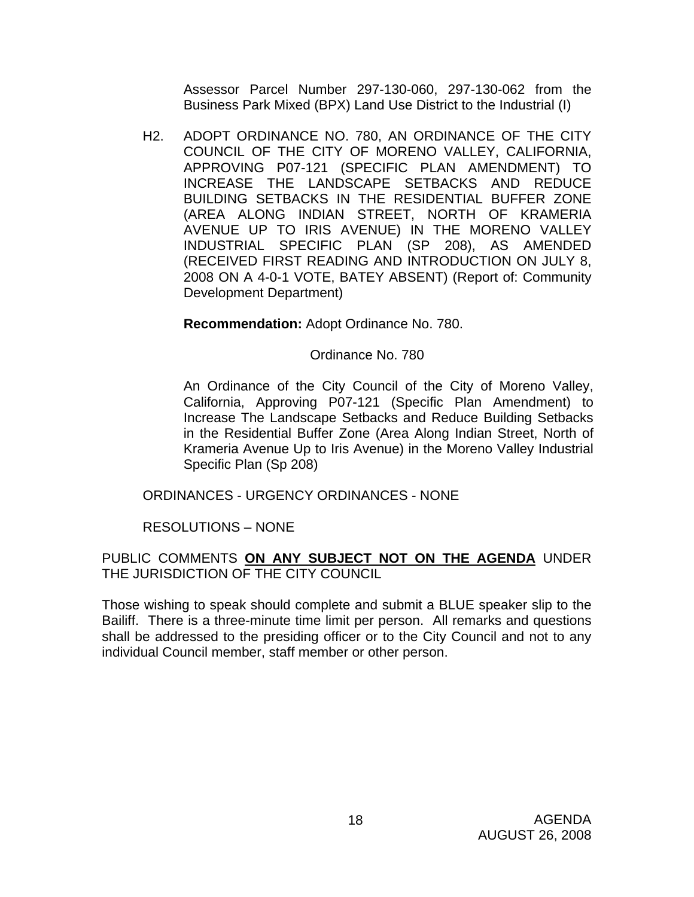Assessor Parcel Number 297-130-060, 297-130-062 from the Business Park Mixed (BPX) Land Use District to the Industrial (I)

H2. ADOPT ORDINANCE NO. 780, AN ORDINANCE OF THE CITY COUNCIL OF THE CITY OF MORENO VALLEY, CALIFORNIA, APPROVING P07-121 (SPECIFIC PLAN AMENDMENT) TO INCREASE THE LANDSCAPE SETBACKS AND REDUCE BUILDING SETBACKS IN THE RESIDENTIAL BUFFER ZONE (AREA ALONG INDIAN STREET, NORTH OF KRAMERIA AVENUE UP TO IRIS AVENUE) IN THE MORENO VALLEY INDUSTRIAL SPECIFIC PLAN (SP 208), AS AMENDED (RECEIVED FIRST READING AND INTRODUCTION ON JULY 8, 2008 ON A 4-0-1 VOTE, BATEY ABSENT) (Report of: Community Development Department)

## **Recommendation:** Adopt Ordinance No. 780.

## Ordinance No. 780

An Ordinance of the City Council of the City of Moreno Valley, California, Approving P07-121 (Specific Plan Amendment) to Increase The Landscape Setbacks and Reduce Building Setbacks in the Residential Buffer Zone (Area Along Indian Street, North of Krameria Avenue Up to Iris Avenue) in the Moreno Valley Industrial Specific Plan (Sp 208)

ORDINANCES - URGENCY ORDINANCES - NONE

RESOLUTIONS – NONE

## PUBLIC COMMENTS **ON ANY SUBJECT NOT ON THE AGENDA** UNDER THE JURISDICTION OF THE CITY COUNCIL

Those wishing to speak should complete and submit a BLUE speaker slip to the Bailiff. There is a three-minute time limit per person. All remarks and questions shall be addressed to the presiding officer or to the City Council and not to any individual Council member, staff member or other person.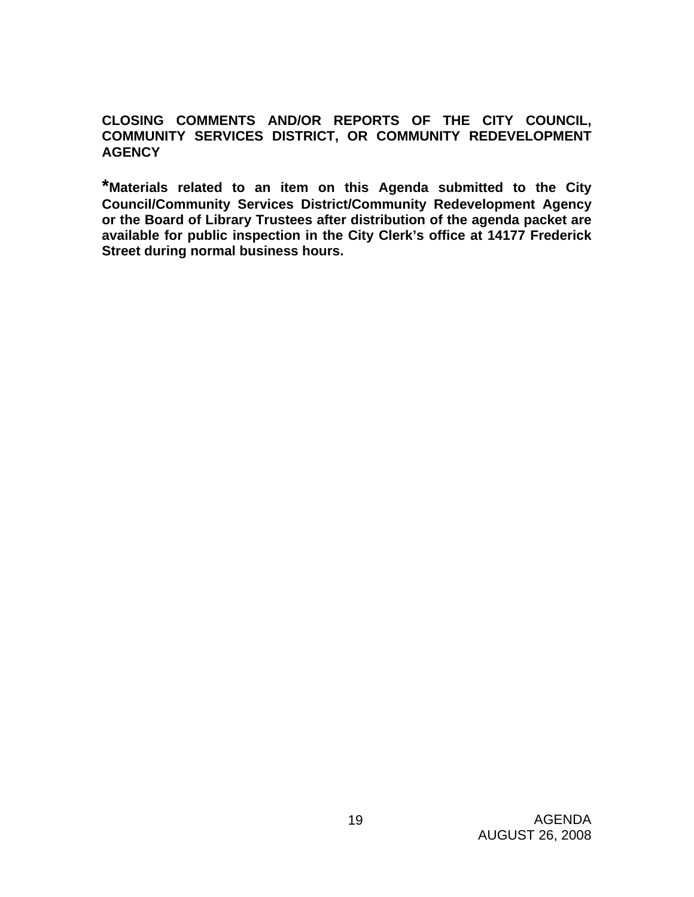**CLOSING COMMENTS AND/OR REPORTS OF THE CITY COUNCIL, COMMUNITY SERVICES DISTRICT, OR COMMUNITY REDEVELOPMENT AGENCY** 

**\*Materials related to an item on this Agenda submitted to the City Council/Community Services District/Community Redevelopment Agency or the Board of Library Trustees after distribution of the agenda packet are available for public inspection in the City Clerk's office at 14177 Frederick Street during normal business hours.**